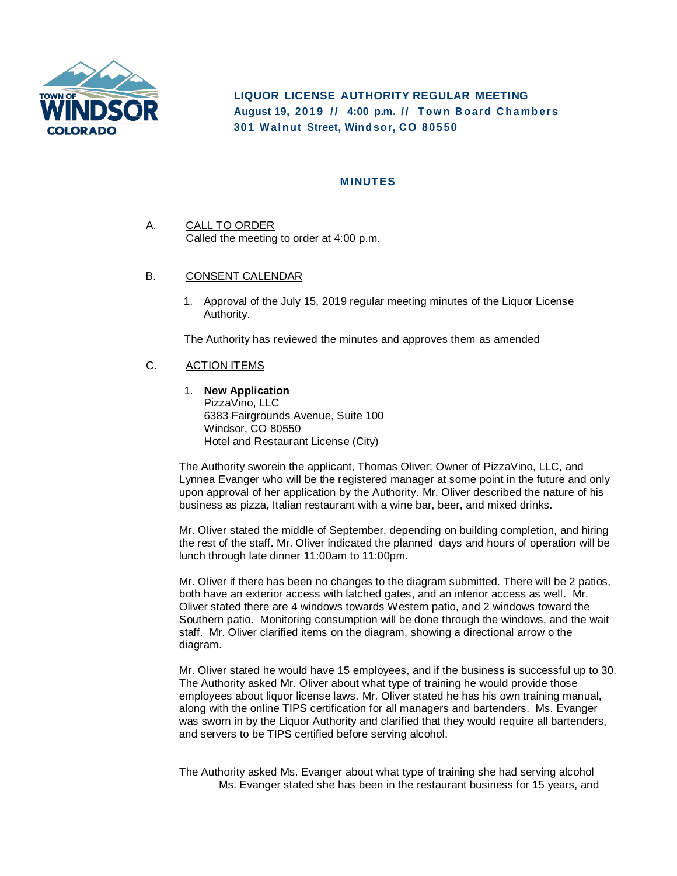

**LIQUOR LICENSE AUTHORITY REGULAR MEETING August 19, 20 1 9 / / 4:00 p. m. / / T ow n B o ard C h a mb e rs 30 1 Waln ut Street, Wind so r, CO 8 0 5 50**

## **MINUTES**

- A. CALL TO ORDER Called the meeting to order at 4:00 p.m.
- B. CONSENT CALENDAR
	- 1. Approval of the July 15, 2019 regular meeting minutes of the Liquor License Authority.

The Authority has reviewed the minutes and approves them as amended

## C. ACTION ITEMS

1. **New Application**

PizzaVino, LLC 6383 Fairgrounds Avenue, Suite 100 Windsor, CO 80550 Hotel and Restaurant License (City)

The Authority sworein the applicant, Thomas Oliver; Owner of PizzaVino, LLC, and Lynnea Evanger who will be the registered manager at some point in the future and only upon approval of her application by the Authority. Mr. Oliver described the nature of his business as pizza, Italian restaurant with a wine bar, beer, and mixed drinks.

Mr. Oliver stated the middle of September, depending on building completion, and hiring the rest of the staff. Mr. Oliver indicated the planned days and hours of operation will be lunch through late dinner 11:00am to 11:00pm.

Mr. Oliver if there has been no changes to the diagram submitted. There will be 2 patios, both have an exterior access with latched gates, and an interior access as well. Mr. Oliver stated there are 4 windows towards Western patio, and 2 windows toward the Southern patio. Monitoring consumption will be done through the windows, and the wait staff. Mr. Oliver clarified items on the diagram, showing a directional arrow o the diagram.

Mr. Oliver stated he would have 15 employees, and if the business is successful up to 30. The Authority asked Mr. Oliver about what type of training he would provide those employees about liquor license laws. Mr. Oliver stated he has his own training manual, along with the online TIPS certification for all managers and bartenders. Ms. Evanger was sworn in by the Liquor Authority and clarified that they would require all bartenders, and servers to be TIPS certified before serving alcohol.

The Authority asked Ms. Evanger about what type of training she had serving alcohol Ms. Evanger stated she has been in the restaurant business for 15 years, and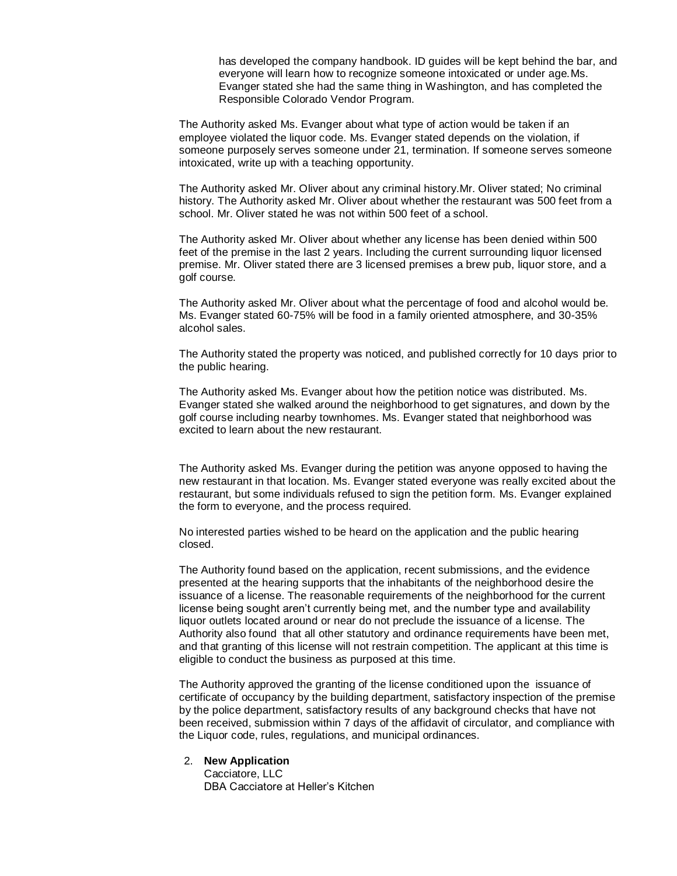has developed the company handbook. ID guides will be kept behind the bar, and everyone will learn how to recognize someone intoxicated or under age.Ms. Evanger stated she had the same thing in Washington, and has completed the Responsible Colorado Vendor Program.

The Authority asked Ms. Evanger about what type of action would be taken if an employee violated the liquor code. Ms. Evanger stated depends on the violation, if someone purposely serves someone under 21, termination. If someone serves someone intoxicated, write up with a teaching opportunity.

The Authority asked Mr. Oliver about any criminal history.Mr. Oliver stated; No criminal history. The Authority asked Mr. Oliver about whether the restaurant was 500 feet from a school. Mr. Oliver stated he was not within 500 feet of a school.

The Authority asked Mr. Oliver about whether any license has been denied within 500 feet of the premise in the last 2 years. Including the current surrounding liquor licensed premise. Mr. Oliver stated there are 3 licensed premises a brew pub, liquor store, and a golf course.

The Authority asked Mr. Oliver about what the percentage of food and alcohol would be. Ms. Evanger stated 60-75% will be food in a family oriented atmosphere, and 30-35% alcohol sales.

The Authority stated the property was noticed, and published correctly for 10 days prior to the public hearing.

The Authority asked Ms. Evanger about how the petition notice was distributed. Ms. Evanger stated she walked around the neighborhood to get signatures, and down by the golf course including nearby townhomes. Ms. Evanger stated that neighborhood was excited to learn about the new restaurant.

The Authority asked Ms. Evanger during the petition was anyone opposed to having the new restaurant in that location. Ms. Evanger stated everyone was really excited about the restaurant, but some individuals refused to sign the petition form. Ms. Evanger explained the form to everyone, and the process required.

No interested parties wished to be heard on the application and the public hearing closed.

The Authority found based on the application, recent submissions, and the evidence presented at the hearing supports that the inhabitants of the neighborhood desire the issuance of a license. The reasonable requirements of the neighborhood for the current license being sought aren't currently being met, and the number type and availability liquor outlets located around or near do not preclude the issuance of a license. The Authority also found that all other statutory and ordinance requirements have been met, and that granting of this license will not restrain competition. The applicant at this time is eligible to conduct the business as purposed at this time.

The Authority approved the granting of the license conditioned upon the issuance of certificate of occupancy by the building department, satisfactory inspection of the premise by the police department, satisfactory results of any background checks that have not been received, submission within 7 days of the affidavit of circulator, and compliance with the Liquor code, rules, regulations, and municipal ordinances.

#### 2. **New Application**

Cacciatore, LLC DBA Cacciatore at Heller's Kitchen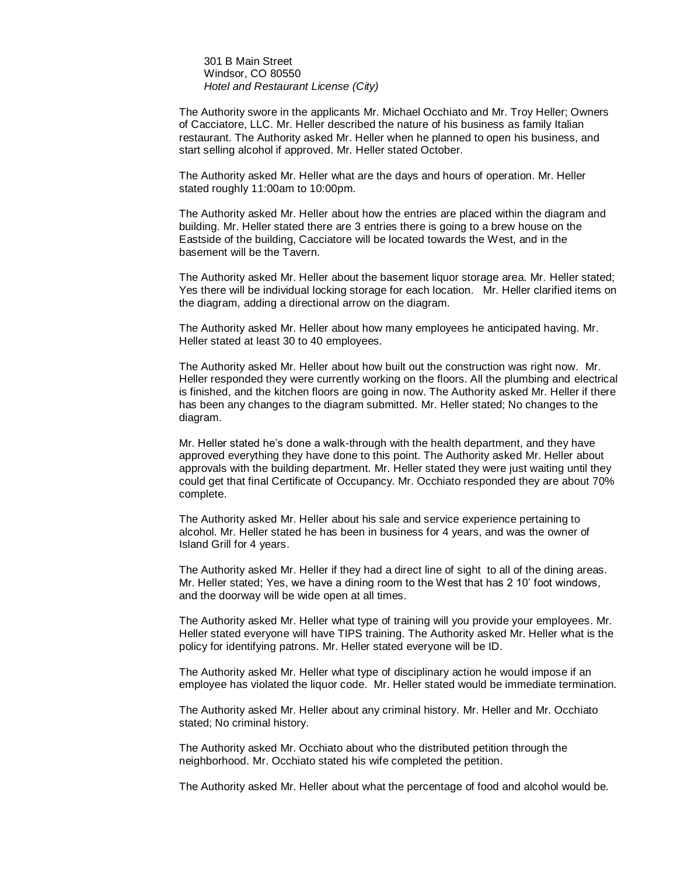301 B Main Street Windsor, CO 80550 *Hotel and Restaurant License (City)*

The Authority swore in the applicants Mr. Michael Occhiato and Mr. Troy Heller; Owners of Cacciatore, LLC. Mr. Heller described the nature of his business as family Italian restaurant. The Authority asked Mr. Heller when he planned to open his business, and start selling alcohol if approved. Mr. Heller stated October.

The Authority asked Mr. Heller what are the days and hours of operation. Mr. Heller stated roughly 11:00am to 10:00pm.

The Authority asked Mr. Heller about how the entries are placed within the diagram and building. Mr. Heller stated there are 3 entries there is going to a brew house on the Eastside of the building, Cacciatore will be located towards the West, and in the basement will be the Tavern.

The Authority asked Mr. Heller about the basement liquor storage area. Mr. Heller stated; Yes there will be individual locking storage for each location. Mr. Heller clarified items on the diagram, adding a directional arrow on the diagram.

The Authority asked Mr. Heller about how many employees he anticipated having. Mr. Heller stated at least 30 to 40 employees.

The Authority asked Mr. Heller about how built out the construction was right now. Mr. Heller responded they were currently working on the floors. All the plumbing and electrical is finished, and the kitchen floors are going in now. The Authority asked Mr. Heller if there has been any changes to the diagram submitted. Mr. Heller stated; No changes to the diagram.

Mr. Heller stated he's done a walk-through with the health department, and they have approved everything they have done to this point. The Authority asked Mr. Heller about approvals with the building department. Mr. Heller stated they were just waiting until they could get that final Certificate of Occupancy. Mr. Occhiato responded they are about 70% complete.

The Authority asked Mr. Heller about his sale and service experience pertaining to alcohol. Mr. Heller stated he has been in business for 4 years, and was the owner of Island Grill for 4 years.

The Authority asked Mr. Heller if they had a direct line of sight to all of the dining areas. Mr. Heller stated; Yes, we have a dining room to the West that has 2 10' foot windows, and the doorway will be wide open at all times.

The Authority asked Mr. Heller what type of training will you provide your employees. Mr. Heller stated everyone will have TIPS training. The Authority asked Mr. Heller what is the policy for identifying patrons. Mr. Heller stated everyone will be ID.

The Authority asked Mr. Heller what type of disciplinary action he would impose if an employee has violated the liquor code. Mr. Heller stated would be immediate termination.

The Authority asked Mr. Heller about any criminal history. Mr. Heller and Mr. Occhiato stated; No criminal history.

The Authority asked Mr. Occhiato about who the distributed petition through the neighborhood. Mr. Occhiato stated his wife completed the petition.

The Authority asked Mr. Heller about what the percentage of food and alcohol would be.